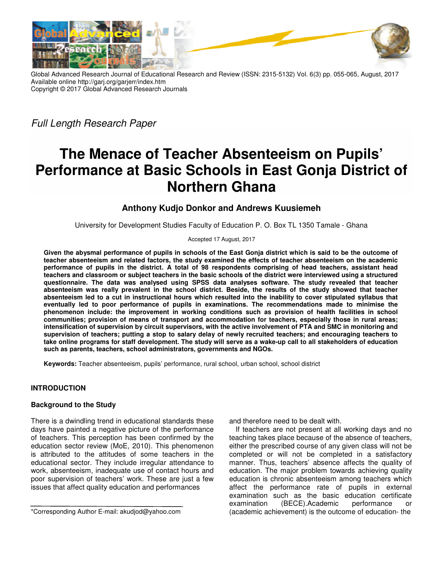

Global Advanced Research Journal of Educational Research and Review (ISSN: 2315-5132) Vol. 6(3) pp. 055-065, August, 2017 Available online http://garj.org/garjerr/index.htm Copyright © 2017 Global Advanced Research Journals Global Advanced

*Full Length Research Paper* 

# **The Menace of Teacher Absenteeism on Pupils' Performance at Basic Schools in East Gonja District of The Menace of Teacher Absenteeism on Pupils'<br>Performance at Basic Schools in East Gonja District<br>Northern Ghana**

# **Anthony Kudjo Donkor Kudjo Donkor and Andrews Kuusiemeh**

University for Development Studies Faculty of Education P. O. Box TL 1350 Tamale - Ghana

Accepted 17 August, 2017

**Given the abysmal performance of pupils in schools of the East Gonja district which is said to be the outcome of**  Given the abysmal performance of pupils in schools of the East Gonja district which is said to be the outcome of<br>teacher absenteeism and related factors, the study examined the effects of teacher absenteeism on the academi **performance of pupils in the district. A total of 98 respondents comprising of head teachers, assistant head**  performance of pupils in the district. A total of 98 respondents comprising of head teachers, assistant head<br>teachers and classroom or subject teachers in the basic schools of the district were interviewed using a structur **questionnaire. The data was analysed using SPSS data analyses software. The study reve revealed that teacher**  questionnaire. The data was analysed using SPSS data analyses software. The study revealed that teacher<br>absenteeism was really prevalent in the school district. Beside, the results of the study showed that teacher absenteeism led to a cut in instructional hours which resulted into the inability to cover stipulated syllabus that eventually led to poor performance of pupils in examinations. The recommendations made to minimise the phenomenon include: the improvement in working conditions such as provision of health facilities in school communities; provision of means of transport and accommodation for teachers, especially those in rural areas; intensification of supervision by circuit supervisors, with the active involvement of PTA and SMC in monitoring and supervision of teachers; putting a stop to salary delay of newly recruited teachers; and encouraging teachers to take online programs for staff development. The study will serve as a wake-up call to all stakeholders of education **such as parents, teachers, school administrators, government school administrators, governments and NGOs.**  effects of teacher absenteeism on the academic<br>s comprising of head teachers, assistant head<br>f the district were interviewed using a structured

Keywords: Teacher absenteeism, pupils' performance, rural school, urban school, school district

# **INTRODUCTION**

## **Background to the Study**

There is a dwindling trend in educational standards these days have painted a negative picture of the performance of teachers. This perception has been confirmed by the education sector review (MoE, 2010). This phenomenon is attributed to the attitudes of some teachers in the educational sector. They include irregular attendance to work, absenteeism, inadequate use of contact hours and poor supervision of teachers' work. These are just a few issues that affect quality education and performances ucation sector review (MoE, 2010). This phenome<br>attributed to the attitudes of some teachers in<br>ucational sector. They include irregular attendanc<br>rk, absenteeism, inadequate use of contact hours

mail: akudjod@yahoo.com<br>
and in educational standards these<br>
and therefore need to be dealt with.<br>
If teachers are not present at all<br>
performance<br>
If teachers are not present at all<br>
teaching takes place because of the<br>
e and therefore need to be dealt with.<br>If teachers are not present at all working days and no teaching takes place because of the absence of teachers, either the prescribed course of any given class will not be completed or will not be completed in a satisfactory manner. Thus, teachers' absence affects the quality of education. The major problem towards achieving quality education is chronic absenteeism among teachers which affect the performance rate of pupils in external examination such as the basic education certificate examination (BECE).Academic performance or (academic achievement) is the outcome of education teaching takes place because of the absence of teachers,<br>either the prescribed course of any given class will not be<br>completed or will not be completed in a satisfactory<br>manner. Thus, teachers' absence affects the quality

<sup>\*</sup>Corresponding Author E-mail: akudjod@yahoo.com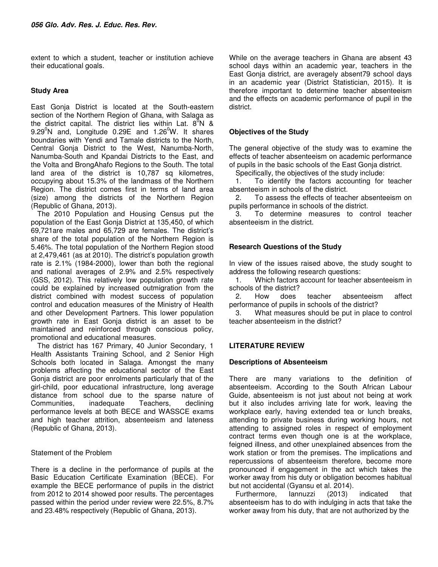extent to which a student, teacher or institution achieve their educational goals.

## **Study Area**

East Gonja District is located at the South-eastern section of the Northern Region of Ghana, with Salaga as the district capital. The district lies within Lat.  $8^{\circ}$ N &  $9.29^{\circ}$ N and, Longitude 0.29E and 1.26 $^{\circ}$ W. It shares boundaries with Yendi and Tamale districts to the North, Central Gonja District to the West, Nanumba-North, Nanumba-South and Kpandai Districts to the East, and the Volta and BrongAhafo Regions to the South. The total land area of the district is 10,787 sq kilometres, occupying about 15.3% of the landmass of the Northern Region. The district comes first in terms of land area (size) among the districts of the Northern Region (Republic of Ghana, 2013).

The 2010 Population and Housing Census put the population of the East Gonja District at 135,450, of which 69,721are males and 65,729 are females. The district's share of the total population of the Northern Region is 5.46%. The total population of the Northern Region stood at 2,479,461 (as at 2010). The district's population growth rate is 2.1% (1984-2000), lower than both the regional and national averages of 2.9% and 2.5% respectively (GSS, 2012). This relatively low population growth rate could be explained by increased outmigration from the district combined with modest success of population control and education measures of the Ministry of Health and other Development Partners. This lower population growth rate in East Gonja district is an asset to be maintained and reinforced through conscious policy, promotional and educational measures.

The district has 167 Primary, 40 Junior Secondary, 1 Health Assistants Training School, and 2 Senior High Schools both located in Salaga. Amongst the many problems affecting the educational sector of the East Gonja district are poor enrolments particularly that of the girl-child, poor educational infrastructure, long average distance from school due to the sparse nature of Communities, inadequate Teachers, declining performance levels at both BECE and WASSCE exams and high teacher attrition, absenteeism and lateness (Republic of Ghana, 2013).

## Statement of the Problem

There is a decline in the performance of pupils at the Basic Education Certificate Examination (BECE). For example the BECE performance of pupils in the district from 2012 to 2014 showed poor results. The percentages passed within the period under review were 22.5%, 8.7% and 23.48% respectively (Republic of Ghana, 2013).

While on the average teachers in Ghana are absent 43 school days within an academic year, teachers in the East Gonja district, are averagely absent79 school days in an academic year (District Statistician, 2015). It is therefore important to determine teacher absenteeism and the effects on academic performance of pupil in the district.

## **Objectives of the Study**

The general objective of the study was to examine the effects of teacher absenteeism on academic performance of pupils in the basic schools of the East Gonja district.

Specifically, the objectives of the study include:

1. To identify the factors accounting for teacher absenteeism in schools of the district.

2. To assess the effects of teacher absenteeism on pupils performance in schools of the district.

3. To determine measures to control teacher absenteeism in the district.

## **Research Questions of the Study**

In view of the issues raised above, the study sought to address the following research questions:

1. Which factors account for teacher absenteeism in schools of the district?

2. How does teacher absenteeism affect performance of pupils in schools of the district?

3. What measures should be put in place to control teacher absenteeism in the district?

## **LITERATURE REVIEW**

## **Descriptions of Absenteeism**

There are many variations to the definition of absenteeism. According to the South African Labour Guide, absenteeism is not just about not being at work but it also includes arriving late for work, leaving the workplace early, having extended tea or lunch breaks, attending to private business during working hours, not attending to assigned roles in respect of employment contract terms even though one is at the workplace, feigned illness, and other unexplained absences from the work station or from the premises. The implications and repercussions of absenteeism therefore, become more pronounced if engagement in the act which takes the worker away from his duty or obligation becomes habitual but not accidental (Gyansu et al. 2014).

Furthermore, Iannuzzi (2013) indicated that absenteeism has to do with indulging in acts that take the worker away from his duty, that are not authorized by the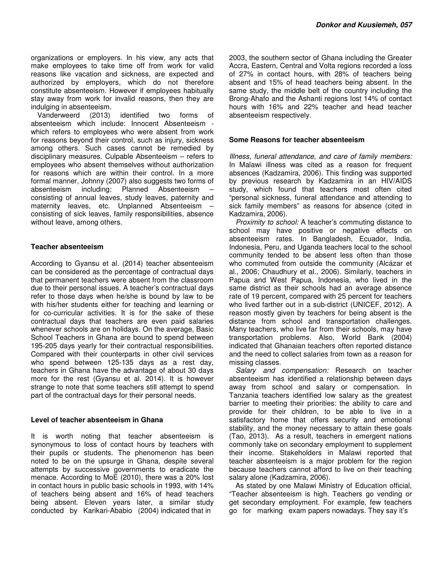organizations or employers. In his view, any acts that make employees to take time off from work for valid reasons like vacation and sickness, are expected and authorized by employers, which do not therefore constitute absenteeism. However if employees habitually stay away from work for invalid reasons, then they are indulging in absenteeism.

Vanderweerd (2013) identified two forms of absenteeism which include: Innocent Absenteeism which refers to employees who were absent from work for reasons beyond their control, such as injury, sickness among others. Such cases cannot be remedied by disciplinary measures. Culpable Absenteeism – refers to employees who absent themselves without authorization for reasons which are within their control. In a more formal manner, Johnny (2007) also suggests two forms of absenteeism – helioding: Planned Absenteeism – absenteeism including: Planned Absenteeism – consisting of annual leaves, study leaves, paternity and maternity leaves, etc. Unplanned Absenteeism – consisting of sick leaves, family responsibilities, absence without leave, among others.

## **Teacher absenteeism**

According to Gyansu et al. (2014) teacher absenteeism can be considered as the percentage of contractual days that permanent teachers were absent from the classroom due to their personal issues. A teacher's contractual days refer to those days when he/she is bound by law to be with his/her students either for teaching and learning or for co-curricular activities. It is for the sake of these contractual days that teachers are even paid salaries whenever schools are on holidays. On the average, Basic School Teachers in Ghana are bound to spend between 195-205 days yearly for their contractual responsibilities. Compared with their counterparts in other civil services who spend between 125-135 days as a rest day, teachers in Ghana have the advantage of about 30 days more for the rest (Gyansu et al. 2014). It is however strange to note that some teachers still attempt to spend part of the contractual days for their personal needs.

#### **Level of teacher absenteeism in Ghana**

It is worth noting that teacher absenteeism is synonymous to loss of contact hours by teachers with their pupils or students. The phenomenon has been noted to be on the upsurge in Ghana, despite several attempts by successive governments to eradicate the menace. According to MoE (2010), there was a 20% lost in contact hours in public basic schools in 1993, with 14% of teachers being absent and 16% of head teachers being absent. Eleven years later, a similar study conducted by Karikari-Ababio (2004) indicated that in

2003, the southern sector of Ghana including the Greater Accra, Eastern, Central and Volta regions recorded a loss of 27% in contact hours, with 28% of teachers being absent and 15% of head teachers being absent. In the same study, the middle belt of the country including the Brong-Ahafo and the Ashanti regions lost 14% of contact hours with 16% and 22% teacher and head teacher absenteeism respectively.

## **Some Reasons for teacher absenteeism**

*Illness, funeral attendance, and care of family members:*  In Malawi illness was cited as a reason for frequent absences (Kadzamira, 2006). This finding was supported by previous research by Kadzamira in an HIV/AIDS study, which found that teachers most often cited "personal sickness, funeral attendance and attending to sick family members" as reasons for absence (cited in Kadzamira, 2006).

*Proximity to school:* A teacher's commuting distance to school may have positive or negative effects on absenteeism rates. In Bangladesh, Ecuador, India, Indonesia, Peru, and Uganda teachers local to the school community tended to be absent less often than those who commuted from outside the community (Alcázar et al., 2006; Chaudhury et al., 2006). Similarly, teachers in Papua and West Papua, Indonesia, who lived in the same district as their schools had an average absence rate of 19 percent, compared with 25 percent for teachers who lived farther out in a sub-district (UNICEF, 2012). A reason mostly given by teachers for being absent is the distance from school and transportation challenges. Many teachers, who live far from their schools, may have transportation problems. Also, World Bank (2004) indicated that Ghanaian teachers often reported distance and the need to collect salaries from town as a reason for missing classes.

*Salary and compensation:* Research on teacher absenteeism has identified a relationship between days away from school and salary or compensation. In Tanzania teachers identified low salary as the greatest barrier to meeting their priorities: the ability to care and provide for their children, to be able to live in a satisfactory home that offers security and emotional stability, and the money necessary to attain these goals (Tao, 2013). As a result, teachers in emergent nations commonly take on secondary employment to supplement their income. Stakeholders in Malawi reported that teacher absenteeism is a major problem for the region because teachers cannot afford to live on their teaching salary alone (Kadzamira, 2006).

As stated by one Malawi Ministry of Education official, "Teacher absenteeism is high. Teachers go vending or get secondary employment. For example, few teachers go for marking exam papers nowadays. They say it's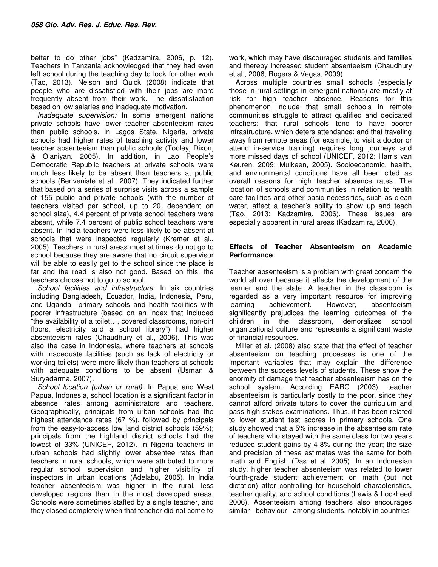better to do other jobs" (Kadzamira, 2006, p. 12). Teachers in Tanzania acknowledged that they had even left school during the teaching day to look for other work (Tao, 2013). Nelson and Quick (2008) indicate that people who are dissatisfied with their jobs are more frequently absent from their work. The dissatisfaction based on low salaries and inadequate motivation.

*Inadequate supervision:* In some emergent nations private schools have lower teacher absenteeism rates than public schools. In Lagos State, Nigeria, private schools had higher rates of teaching activity and lower teacher absenteeism than public schools (Tooley, Dixon, & Olaniyan, 2005). In addition, in Lao People's Democratic Republic teachers at private schools were much less likely to be absent than teachers at public schools (Benveniste et al., 2007). They indicated further that based on a series of surprise visits across a sample of 155 public and private schools (with the number of teachers visited per school, up to 20, dependent on school size), 4.4 percent of private school teachers were absent, while 7.4 percent of public school teachers were absent. In India teachers were less likely to be absent at schools that were inspected regularly (Kremer et al., 2005). Teachers in rural areas most at times do not go to school because they are aware that no circuit supervisor will be able to easily get to the school since the place is far and the road is also not good. Based on this, the teachers choose not to go to school.

*School facilities and infrastructure:* In six countries including Bangladesh, Ecuador, India, Indonesia, Peru, and Uganda—primary schools and health facilities with poorer infrastructure (based on an index that included "the availability of a toilet…, covered classrooms, non-dirt floors, electricity and a school library") had higher absenteeism rates (Chaudhury et al., 2006). This was also the case in Indonesia, where teachers at schools with inadequate facilities (such as lack of electricity or working toilets) were more likely than teachers at schools with adequate conditions to be absent (Usman & Suryadarma, 2007).

*School location (urban or rural):* In Papua and West Papua, Indonesia, school location is a significant factor in absence rates among administrators and teachers. Geographically, principals from urban schools had the highest attendance rates (67 %), followed by principals from the easy-to-access low land district schools (59%); principals from the highland district schools had the lowest of 33% (UNICEF, 2012). In Nigeria teachers in urban schools had slightly lower absentee rates than teachers in rural schools, which were attributed to more regular school supervision and higher visibility of inspectors in urban locations (Adelabu, 2005). In India teacher absenteeism was higher in the rural, less developed regions than in the most developed areas. Schools were sometimes staffed by a single teacher, and they closed completely when that teacher did not come to

work, which may have discouraged students and families and thereby increased student absenteeism (Chaudhury et al., 2006; Rogers & Vegas, 2009).

Across multiple countries small schools (especially those in rural settings in emergent nations) are mostly at risk for high teacher absence. Reasons for this phenomenon include that small schools in remote communities struggle to attract qualified and dedicated teachers; that rural schools tend to have poorer infrastructure, which deters attendance; and that traveling away from remote areas (for example, to visit a doctor or attend in-service training) requires long journeys and more missed days of school (UNICEF, 2012; Harris van Keuren, 2009; Mulkeen, 2005). Socioeconomic, health, and environmental conditions have all been cited as overall reasons for high teacher absence rates. The location of schools and communities in relation to health care facilities and other basic necessities, such as clean water, affect a teacher's ability to show up and teach (Tao, 2013; Kadzamira, 2006). These issues are especially apparent in rural areas (Kadzamira, 2006).

## **Effects of Teacher Absenteeism on Academic Performance**

Teacher absenteeism is a problem with great concern the world all over because it affects the development of the learner and the state. A teacher in the classroom is regarded as a very important resource for improving learning achievement. However, absenteeism significantly prejudices the learning outcomes of the children in the classroom, demoralizes school organizational culture and represents a significant waste of financial resources.

Miller et al. (2008) also state that the effect of teacher absenteeism on teaching processes is one of the important variables that may explain the difference between the success levels of students. These show the enormity of damage that teacher absenteeism has on the school system. According EARC (2003), teacher absenteeism is particularly costly to the poor, since they cannot afford private tutors to cover the curriculum and pass high-stakes examinations. Thus, it has been related to lower student test scores in primary schools. One study showed that a 5% increase in the absenteeism rate of teachers who stayed with the same class for two years reduced student gains by 4-8% during the year; the size and precision of these estimates was the same for both math and English (Das et al. 2005). In an Indonesian study, higher teacher absenteeism was related to lower fourth-grade student achievement on math (but not dictation) after controlling for household characteristics, teacher quality, and school conditions (Lewis & Lockheed 2006). Absenteeism among teachers also encourages similar behaviour among students, notably in countries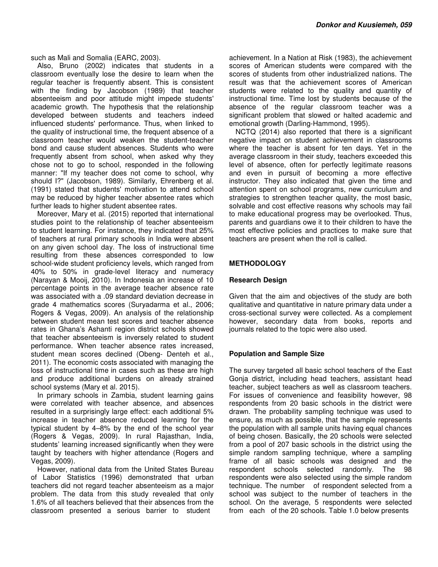such as Mali and Somalia (EARC, 2003).

Also, Bruno (2002) indicates that students in a classroom eventually lose the desire to learn when the regular teacher is frequently absent. This is consistent with the finding by Jacobson (1989) that teacher absenteeism and poor attitude might impede students' academic growth. The hypothesis that the relationship developed between students and teachers indeed influenced students' performance. Thus, when linked to the quality of instructional time, the frequent absence of a classroom teacher would weaken the student-teacher bond and cause student absences. Students who were frequently absent from school, when asked why they chose not to go to school, responded in the following manner: "If my teacher does not come to school, why should I?" (Jacobson, 1989). Similarly, Ehrenberg et al. (1991) stated that students' motivation to attend school may be reduced by higher teacher absentee rates which further leads to higher student absentee rates.

Moreover, Mary et al. (2015) reported that international studies point to the relationship of teacher absenteeism to student learning. For instance, they indicated that 25% of teachers at rural primary schools in India were absent on any given school day. The loss of instructional time resulting from these absences corresponded to low school-wide student proficiency levels, which ranged from 40% to 50% in grade-level literacy and numeracy (Narayan & Mooij, 2010). In Indonesia an increase of 10 percentage points in the average teacher absence rate was associated with a .09 standard deviation decrease in grade 4 mathematics scores (Suryadarma et al., 2006; Rogers & Vegas, 2009). An analysis of the relationship between student mean test scores and teacher absence rates in Ghana's Ashanti region district schools showed that teacher absenteeism is inversely related to student performance. When teacher absence rates increased, student mean scores declined (Obeng- Denteh et al., 2011). The economic costs associated with managing the loss of instructional time in cases such as these are high and produce additional burdens on already strained school systems (Mary et al. 2015).

In primary schools in Zambia, student learning gains were correlated with teacher absence, and absences resulted in a surprisingly large effect: each additional 5% increase in teacher absence reduced learning for the typical student by 4–8% by the end of the school year (Rogers & Vegas, 2009). In rural Rajasthan, India, students' learning increased significantly when they were taught by teachers with higher attendance (Rogers and Vegas, 2009).

However, national data from the United States Bureau of Labor Statistics (1996) demonstrated that urban teachers did not regard teacher absenteeism as a major problem. The data from this study revealed that only 1.6% of all teachers believed that their absences from the classroom presented a serious barrier to student

achievement. In a Nation at Risk (1983), the achievement scores of American students were compared with the scores of students from other industrialized nations. The result was that the achievement scores of American students were related to the quality and quantity of instructional time. Time lost by students because of the absence of the regular classroom teacher was a significant problem that slowed or halted academic and emotional growth (Darling-Hammond, 1995).

NCTQ (2014) also reported that there is a significant negative impact on student achievement in classrooms where the teacher is absent for ten days. Yet in the average classroom in their study, teachers exceeded this level of absence, often for perfectly legitimate reasons and even in pursuit of becoming a more effective instructor. They also indicated that given the time and attention spent on school programs, new curriculum and strategies to strengthen teacher quality, the most basic, solvable and cost effective reasons why schools may fail to make educational progress may be overlooked. Thus, parents and guardians owe it to their children to have the most effective policies and practices to make sure that teachers are present when the roll is called.

## **METHODOLOGY**

#### **Research Design**

Given that the aim and objectives of the study are both qualitative and quantitative in nature primary data under a cross-sectional survey were collected. As a complement however, secondary data from books, reports and journals related to the topic were also used.

## **Population and Sample Size**

The survey targeted all basic school teachers of the East Gonja district, including head teachers, assistant head teacher, subject teachers as well as classroom teachers. For issues of convenience and feasibility however, 98 respondents from 20 basic schools in the district were drawn. The probability sampling technique was used to ensure, as much as possible, that the sample represents the population with all sample units having equal chances of being chosen. Basically, the 20 schools were selected from a pool of 207 basic schools in the district using the simple random sampling technique, where a sampling frame of all basic schools was designed and the respondent schools selected randomly. respondents were also selected using the simple random technique. The number of respondent selected from a school was subject to the number of teachers in the school. On the average, 5 respondents were selected from each of the 20 schools. Table 1.0 below presents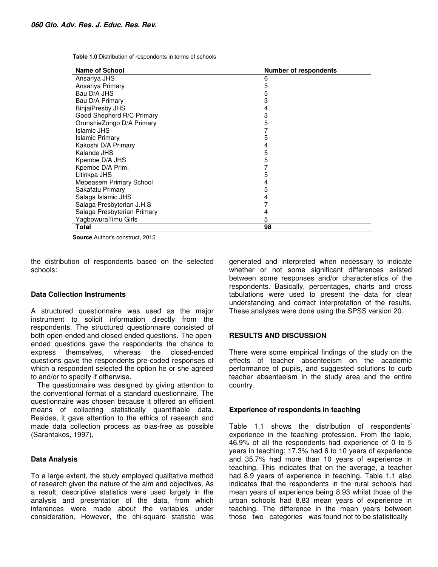**Table 1.0** Distribution of respondents in terms of schools

| <b>Name of School</b>       | <b>Number of respondents</b> |
|-----------------------------|------------------------------|
| Ansariya JHS                | 6                            |
| Ansariya Primary            | 5                            |
| Bau D/A JHS                 | 5                            |
| Bau D/A Primary             | 3                            |
| <b>BinjaiPresby JHS</b>     | 4                            |
| Good Shepherd R/C Primary   | 3                            |
| GrunshieZongo D/A Primary   | 5                            |
| Islamic JHS                 |                              |
| <b>Islamic Primary</b>      | 5                            |
| Kakoshi D/A Primary         | 4                            |
| Kalande JHS                 | 5                            |
| Kpembe D/A JHS              | 5                            |
| Kpembe D/A Prim.            |                              |
| Litinkpa JHS                | 5                            |
| Mepeasem Primary School     | 4                            |
| Sakafatu Primary            | 5                            |
| Salaga Islamic JHS          | 4                            |
| Salaga Presbyterian J.H.S   |                              |
| Salaga Presbyterian Primary | 4                            |
| YagbowuraTimu Girls         | 5                            |
| Total                       | 98                           |

**Source** Author's construct, 2015

the distribution of respondents based on the selected schools:

#### **Data Collection Instruments**

A structured questionnaire was used as the major instrument to solicit information directly from the respondents. The structured questionnaire consisted of both open-ended and closed-ended questions. The openended questions gave the respondents the chance to express themselves. whereas the closed-ended express themselves, whereas the closed-ended questions gave the respondents pre-coded responses of which a respondent selected the option he or she agreed to and/or to specify if otherwise.

The questionnaire was designed by giving attention to the conventional format of a standard questionnaire. The questionnaire was chosen because it offered an efficient means of collecting statistically quantifiable data. Besides, it gave attention to the ethics of research and made data collection process as bias-free as possible (Sarantakos, 1997).

#### **Data Analysis**

To a large extent, the study employed qualitative method of research given the nature of the aim and objectives. As a result, descriptive statistics were used largely in the analysis and presentation of the data, from which inferences were made about the variables under consideration. However, the chi-square statistic was

generated and interpreted when necessary to indicate whether or not some significant differences existed between some responses and/or characteristics of the respondents. Basically, percentages, charts and cross tabulations were used to present the data for clear understanding and correct interpretation of the results. These analyses were done using the SPSS version 20.

#### **RESULTS AND DISCUSSION**

There were some empirical findings of the study on the effects of teacher absenteeism on the academic performance of pupils, and suggested solutions to curb teacher absenteeism in the study area and the entire country.

#### **Experience of respondents in teaching**

Table 1.1 shows the distribution of respondents' experience in the teaching profession. From the table, 46.9% of all the respondents had experience of 0 to 5 years in teaching; 17.3% had 6 to 10 years of experience and 35.7% had more than 10 years of experience in teaching. This indicates that on the average, a teacher had 8.9 years of experience in teaching. Table 1.1 also indicates that the respondents in the rural schools had mean years of experience being 8.93 whilst those of the urban schools had 8.83 mean years of experience in teaching. The difference in the mean years between those two categories was found not to be statistically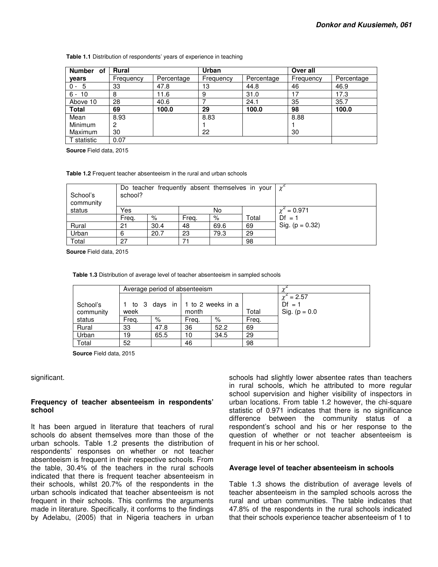| <b>Number</b><br>οf | <b>Rural</b> |            | Urban     |            | Over all  |            |  |  |
|---------------------|--------------|------------|-----------|------------|-----------|------------|--|--|
| vears               | Frequency    | Percentage | Frequency | Percentage | Frequency | Percentage |  |  |
| $0 - 5$             | 33           | 47.8       | 13        | 44.8       | 46        | 46.9       |  |  |
| $6 - 10$            | 8            | 11.6       | 9         | 31.0       |           | 17.3       |  |  |
| Above 10            | 28           | 40.6       |           | 24.1       | 35        | 35.7       |  |  |
| <b>Total</b>        | 69           | 100.0      | 29        | 100.0      | 98        | 100.0      |  |  |
| Mean                | 8.93         |            | 8.83      |            | 8.88      |            |  |  |
| Minimum             | 2            |            |           |            |           |            |  |  |
| Maximum             | 30           |            | 22        |            | 30        |            |  |  |
| T statistic         | 0.07         |            |           |            |           |            |  |  |

**Table 1.1** Distribution of respondents' years of experience in teaching

**Source** Field data, 2015

**Table 1.2** Frequent teacher absenteeism in the rural and urban schools

| School's<br>community | school? | Do teacher frequently absent themselves in your |       | $\chi^2$ |       |                   |
|-----------------------|---------|-------------------------------------------------|-------|----------|-------|-------------------|
| status                | Yes     |                                                 | No    |          |       | $\chi^2 = 0.971$  |
|                       | Freq.   | %                                               | Freg. | %        | Total | $Df = 1$          |
| Rural                 | 21      | 30.4                                            | 48    | 69.6     | 69    | Sig. $(p = 0.32)$ |
| Urban                 | 6       | 20.7                                            | 23    | 79.3     | 29    |                   |
| Total                 | 27      |                                                 | 71    |          | 98    |                   |

**Source** Field data, 2015

**Table 1.3** Distribution of average level of teacher absenteeism in sampled schools

|                       |       | Average period of absenteeism      |       |      |       |                                                   |
|-----------------------|-------|------------------------------------|-------|------|-------|---------------------------------------------------|
| School's<br>community | week  | 1 to 3 days in   1 to 2 weeks in a | month |      | Total | $\chi^2 = 2.57$<br>$Df = 1$<br>Sig. ( $p = 0.0$ ) |
| status                | Freg. | %                                  | Freq. | $\%$ | Freg. |                                                   |
| Rural                 | 33    | 47.8                               | 36    | 52.2 | 69    |                                                   |
| Urban                 | 19    | 65.5                               | 10    | 34.5 | 29    |                                                   |
| Total                 | 52    |                                    | 46    |      | 98    |                                                   |

**Source** Field data, 2015

significant.

#### **Frequency of teacher absenteeism in respondents' school**

It has been argued in literature that teachers of rural schools do absent themselves more than those of the urban schools. Table 1.2 presents the distribution of respondents' responses on whether or not teacher absenteeism is frequent in their respective schools. From the table, 30.4% of the teachers in the rural schools indicated that there is frequent teacher absenteeism in their schools, whilst 20.7% of the respondents in the urban schools indicated that teacher absenteeism is not frequent in their schools. This confirms the arguments made in literature. Specifically, it conforms to the findings by Adelabu, (2005) that in Nigeria teachers in urban

schools had slightly lower absentee rates than teachers in rural schools, which he attributed to more regular school supervision and higher visibility of inspectors in urban locations. From table 1.2 however, the chi-square statistic of 0.971 indicates that there is no significance difference between the community status of a respondent's school and his or her response to the question of whether or not teacher absenteeism is frequent in his or her school.

#### **Average level of teacher absenteeism in schools**

Table 1.3 shows the distribution of average levels of teacher absenteeism in the sampled schools across the rural and urban communities. The table indicates that 47.8% of the respondents in the rural schools indicated that their schools experience teacher absenteeism of 1 to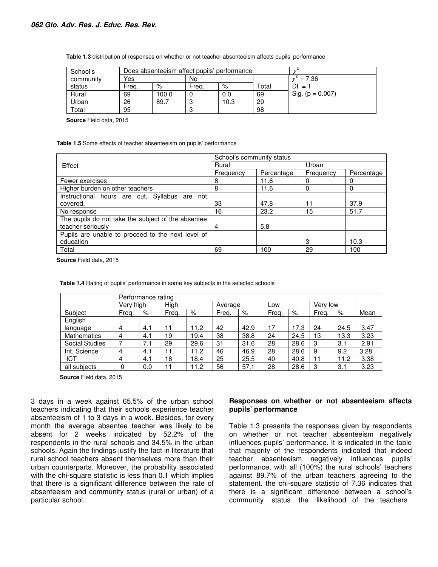| School's               |       | Does absenteeism affect pupils' performance |       |      |       |                      |
|------------------------|-------|---------------------------------------------|-------|------|-------|----------------------|
| community              | Yes   |                                             | No    |      |       | $= 7.36$             |
| status                 | Freq. | %                                           | Frea. | %    | Total | $Df =$               |
| Rural                  | 69    | 100.0                                       |       | 0.0  | 69    | Sig. ( $p = 0.007$ ) |
| Urban                  | 26    | 89.7                                        |       | 10.3 | 29    |                      |
| $\tau$ <sub>otal</sub> | 95    |                                             |       |      | 98    |                      |

**Table 1.3** distribution of responses on whether or not teacher absenteeism affects pupils' performance

**Source** Field data, 2015

**Table 1.5** Some effects of teacher absenteeism on pupils' performance

|                                                    | School's community status |            |           |            |  |  |
|----------------------------------------------------|---------------------------|------------|-----------|------------|--|--|
| Effect                                             | Rural                     |            | Urban     |            |  |  |
|                                                    | Frequency                 | Percentage | Frequency | Percentage |  |  |
| Fewer exercises                                    | 8                         | 11.6       |           |            |  |  |
| Higher burden on other teachers                    | 8                         | 11.6       |           |            |  |  |
| Instructional hours are cut, Syllabus are not      |                           |            |           |            |  |  |
| covered,                                           | 33                        | 47.8       | 11        | 37.9       |  |  |
| No response                                        | 16                        | 23.2       | 15        | 51.7       |  |  |
| The pupils do not take the subject of the absentee |                           |            |           |            |  |  |
| teacher seriously                                  | 4                         | 5.8        |           |            |  |  |
| Pupils are unable to proceed to the next level of  |                           |            |           |            |  |  |
| education                                          |                           |            | 3         | 10.3       |  |  |
| Total                                              | 69                        | 100        | 29        | 100        |  |  |

**Source** Field data, 2015

|                       | Performance rating |     |       |      |       |         |       |      |       |          |      |
|-----------------------|--------------------|-----|-------|------|-------|---------|-------|------|-------|----------|------|
|                       | Very high          |     | High  |      |       | Average |       | Low  |       | Verv low |      |
| Subject               | Freg.              | %   | Freg. | %    | Freg. | %       | Freg. | $\%$ | Frea. | %        | Mean |
| English               |                    |     |       |      |       |         |       |      |       |          |      |
| language              | 4                  | 4.1 | 11    | 11.2 | 42    | 42.9    | 17    | 17.3 | 24    | 24.5     | 3.47 |
| <b>Mathematics</b>    | 4                  | 4.1 | 19    | 19.4 | 38    | 38.8    | 24    | 24.5 | 13    | 13.3     | 3.23 |
| <b>Social Studies</b> |                    | 7.1 | 29    | 29.6 | 31    | 31.6    | 28    | 28.6 | 3     | 3.1      | 2.91 |
| Int. Science          | 4                  | 4.1 | 11    | 11.2 | 46    | 46.9    | 28    | 28.6 | 9     | 9.2      | 3.28 |
| ICT                   | 4                  | 4.1 | 18    | 18.4 | 25    | 25.5    | 40    | 40.8 | 11    | 11.2     | 3.38 |
| all subjects          | 0                  | 0.0 | 11    | 11.2 | 56    | 57.1    | 28    | 28.6 | 3     | 3.1      | 3.23 |

**Table 1.4** Rating of pupils' performance in some key subjects in the selected schools

**Source** Field data, 2015

3 days in a week against 65.5% of the urban school teachers indicating that their schools experience teacher absenteeism of 1 to 3 days in a week. Besides, for every month the average absentee teacher was likely to be absent for 2 weeks indicated by 52.2% of the respondents in the rural schools and 34.5% in the urban schools. Again the findings justify the fact in literature that rural school teachers absent themselves more than their urban counterparts. Moreover, the probability associated with the chi-square statistic is less than 0.1 which implies that there is a significant difference between the rate of absenteeism and community status (rural or urban) of a particular school.

#### **Responses on whether or not absenteeism affects pupils' performance**

Table 1.3 presents the responses given by respondents on whether or not teacher absenteeism negatively influences pupils' performance. It is indicated in the table that majority of the respondents indicated that indeed teacher absenteeism negatively influences pupils' performance, with all (100%) the rural schools' teachers against 89.7% of the urban teachers agreeing to the statement. the chi-square statistic of 7.36 indicates that there is a significant difference between a school's community status the likelihood of the teachers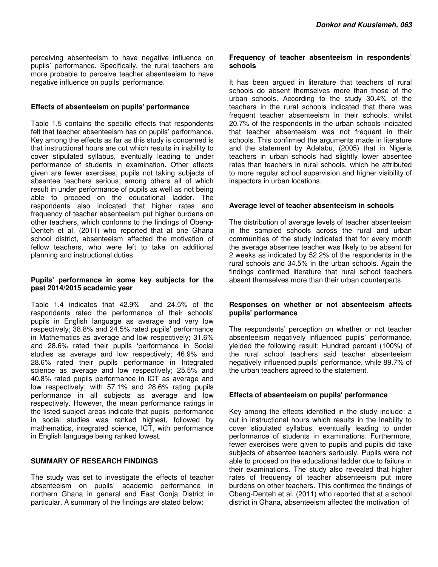perceiving absenteeism to have negative influence on pupils' performance. Specifically, the rural teachers are more probable to perceive teacher absenteeism to have negative influence on pupils' performance.

#### **Effects of absenteeism on pupils' performance**

Table 1.5 contains the specific effects that respondents felt that teacher absenteeism has on pupils' performance. Key among the effects as far as this study is concerned is that instructional hours are cut which results in inability to cover stipulated syllabus, eventually leading to under performance of students in examination. Other effects given are fewer exercises; pupils not taking subjects of absentee teachers serious; among others all of which result in under performance of pupils as well as not being able to proceed on the educational ladder. The respondents also indicated that higher rates and frequency of teacher absenteeism put higher burdens on other teachers, which conforms to the findings of Obeng-Denteh et al. (2011) who reported that at one Ghana school district, absenteeism affected the motivation of fellow teachers, who were left to take on additional planning and instructional duties.

## **Pupils' performance in some key subjects for the past 2014/2015 academic year**

Table 1.4 indicates that 42.9% and 24.5% of the respondents rated the performance of their schools' pupils in English language as average and very low respectively; 38.8% and 24.5% rated pupils' performance in Mathematics as average and low respectively; 31.6% and 28.6% rated their pupils 'performance in Social studies as average and low respectively; 46.9% and 28.6% rated their pupils performance in Integrated science as average and low respectively; 25.5% and 40.8% rated pupils performance in ICT as average and low respectively; with 57.1% and 28.6% rating pupils performance in all subjects as average and low respectively. However, the mean performance ratings in the listed subject areas indicate that pupils' performance in social studies was ranked highest, followed by mathematics, integrated science, ICT, with performance in English language being ranked lowest.

## **SUMMARY OF RESEARCH FINDINGS**

The study was set to investigate the effects of teacher absenteeism on pupils' academic performance in northern Ghana in general and East Gonja District in particular. A summary of the findings are stated below:

#### **Frequency of teacher absenteeism in respondents' schools**

It has been argued in literature that teachers of rural schools do absent themselves more than those of the urban schools. According to the study 30.4% of the teachers in the rural schools indicated that there was frequent teacher absenteeism in their schools, whilst 20.7% of the respondents in the urban schools indicated that teacher absenteeism was not frequent in their schools. This confirmed the arguments made in literature and the statement by Adelabu, (2005) that in Nigeria teachers in urban schools had slightly lower absentee rates than teachers in rural schools, which he attributed to more regular school supervision and higher visibility of inspectors in urban locations.

## **Average level of teacher absenteeism in schools**

The distribution of average levels of teacher absenteeism in the sampled schools across the rural and urban communities of the study indicated that for every month the average absentee teacher was likely to be absent for 2 weeks as indicated by 52.2% of the respondents in the rural schools and 34.5% in the urban schools. Again the findings confirmed literature that rural school teachers absent themselves more than their urban counterparts.

#### **Responses on whether or not absenteeism affects pupils' performance**

The respondents' perception on whether or not teacher absenteeism negatively influenced pupils' performance, yielded the following result: Hundred percent (100%) of the rural school teachers said teacher absenteeism negatively influenced pupils' performance, while 89.7% of the urban teachers agreed to the statement.

## **Effects of absenteeism on pupils' performance**

Key among the effects identified in the study include: a cut in instructional hours which results in the inability to cover stipulated syllabus, eventually leading to under performance of students in examinations. Furthermore, fewer exercises were given to pupils and pupils did take subjects of absentee teachers seriously. Pupils were not able to proceed on the educational ladder due to failure in their examinations. The study also revealed that higher rates of frequency of teacher absenteeism put more burdens on other teachers. This confirmed the findings of Obeng-Denteh et al. (2011) who reported that at a school district in Ghana, absenteeism affected the motivation of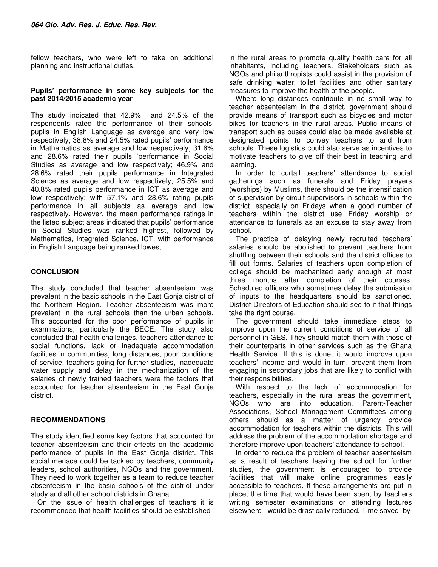fellow teachers, who were left to take on additional planning and instructional duties.

#### **Pupils' performance in some key subjects for the past 2014/2015 academic year**

The study indicated that 42.9% and 24.5% of the respondents rated the performance of their schools' pupils in English Language as average and very low respectively; 38.8% and 24.5% rated pupils' performance in Mathematics as average and low respectively; 31.6% and 28.6% rated their pupils 'performance in Social Studies as average and low respectively; 46.9% and 28.6% rated their pupils performance in Integrated Science as average and low respectively; 25.5% and 40.8% rated pupils performance in ICT as average and low respectively; with 57.1% and 28.6% rating pupils performance in all subjects as average and low respectively. However, the mean performance ratings in the listed subject areas indicated that pupils' performance in Social Studies was ranked highest, followed by Mathematics, Integrated Science, ICT, with performance in English Language being ranked lowest.

## **CONCLUSION**

The study concluded that teacher absenteeism was prevalent in the basic schools in the East Gonja district of the Northern Region. Teacher absenteeism was more prevalent in the rural schools than the urban schools. This accounted for the poor performance of pupils in examinations, particularly the BECE. The study also concluded that health challenges, teachers attendance to social functions, lack or inadequate accommodation facilities in communities, long distances, poor conditions of service, teachers going for further studies, inadequate water supply and delay in the mechanization of the salaries of newly trained teachers were the factors that accounted for teacher absenteeism in the East Gonja district.

## **RECOMMENDATIONS**

The study identified some key factors that accounted for teacher absenteeism and their effects on the academic performance of pupils in the East Gonja district. This social menace could be tackled by teachers, community leaders, school authorities, NGOs and the government. They need to work together as a team to reduce teacher absenteeism in the basic schools of the district under study and all other school districts in Ghana.

On the issue of health challenges of teachers it is recommended that health facilities should be established

in the rural areas to promote quality health care for all inhabitants, including teachers. Stakeholders such as NGOs and philanthropists could assist in the provision of safe drinking water, toilet facilities and other sanitary measures to improve the health of the people.

Where long distances contribute in no small way to teacher absenteeism in the district, government should provide means of transport such as bicycles and motor bikes for teachers in the rural areas. Public means of transport such as buses could also be made available at designated points to convey teachers to and from schools. These logistics could also serve as incentives to motivate teachers to give off their best in teaching and learning.

In order to curtail teachers' attendance to social gatherings such as funerals and Friday prayers (worships) by Muslims, there should be the intensification of supervision by circuit supervisors in schools within the district, especially on Fridays when a good number of teachers within the district use Friday worship or attendance to funerals as an excuse to stay away from school.

The practice of delaying newly recruited teachers' salaries should be abolished to prevent teachers from shuffling between their schools and the district offices to fill out forms. Salaries of teachers upon completion of college should be mechanized early enough at most three months after completion of their courses. Scheduled officers who sometimes delay the submission of inputs to the headquarters should be sanctioned. District Directors of Education should see to it that things take the right course.

The government should take immediate steps to improve upon the current conditions of service of all personnel in GES. They should match them with those of their counterparts in other services such as the Ghana Health Service. If this is done, it would improve upon teachers' income and would in turn, prevent them from engaging in secondary jobs that are likely to conflict with their responsibilities.

With respect to the lack of accommodation for teachers, especially in the rural areas the government, NGOs who are into education, Parent-Teacher Associations, School Management Committees among others should as a matter of urgency provide accommodation for teachers within the districts. This will address the problem of the accommodation shortage and therefore improve upon teachers' attendance to school.

In order to reduce the problem of teacher absenteeism as a result of teachers leaving the school for further studies, the government is encouraged to provide facilities that will make online programmes easily accessible to teachers. If these arrangements are put in place, the time that would have been spent by teachers writing semester examinations or attending lectures elsewhere would be drastically reduced. Time saved by